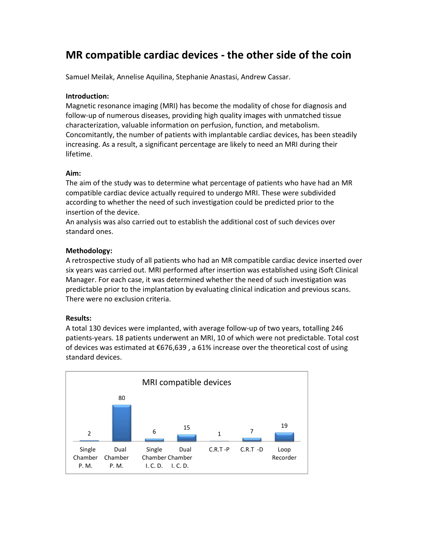# MR compatible cardiac devices - the other side of the coin

Samuel Meilak, Annelise Aquilina, Stephanie Anastasi, Andrew Cassar.

#### Introduction:

Magnetic resonance imaging (MRI) has become the modality of chose for diagnosis and follow-up of numerous diseases, providing high quality images with unmatched tissue characterization, valuable information on perfusion, function, and metabolism. Concomitantly, the number of patients with implantable cardiac devices, has been steadily increasing. As a result, a significant percentage are likely to need an MRI during their lifetime.

Aim:<br>The aim of the study was to determine what percentage of patients who have had an MR compatible cardiac device actually required to undergo MRI. These were subdivided according to whether the need of such investigation could be predicted prior to the insertion of the device.

An analysis was also carried out to establish the additional cost of such devices over standard ones.

### Methodology:

A retrospective study of all patients who had an MR compatible cardiac device inserted over six years was carried out. MRI performed after insertion was established using iSoft Clinical Manager. For each case, it was determined whether the need of such investigation was predictable prior to the implantation by evaluating clinical indication and previous scans. There were no exclusion criteria.

#### Results:

A total 130 devices were implanted, with average follow-up of two years, totalling 246 patients-years. 18 patients underwent an MRI, 10 of which were not predictable. Total cost of devices was estimated at €676,639 , a 61% increase over the theoretical cost of using standard devices.